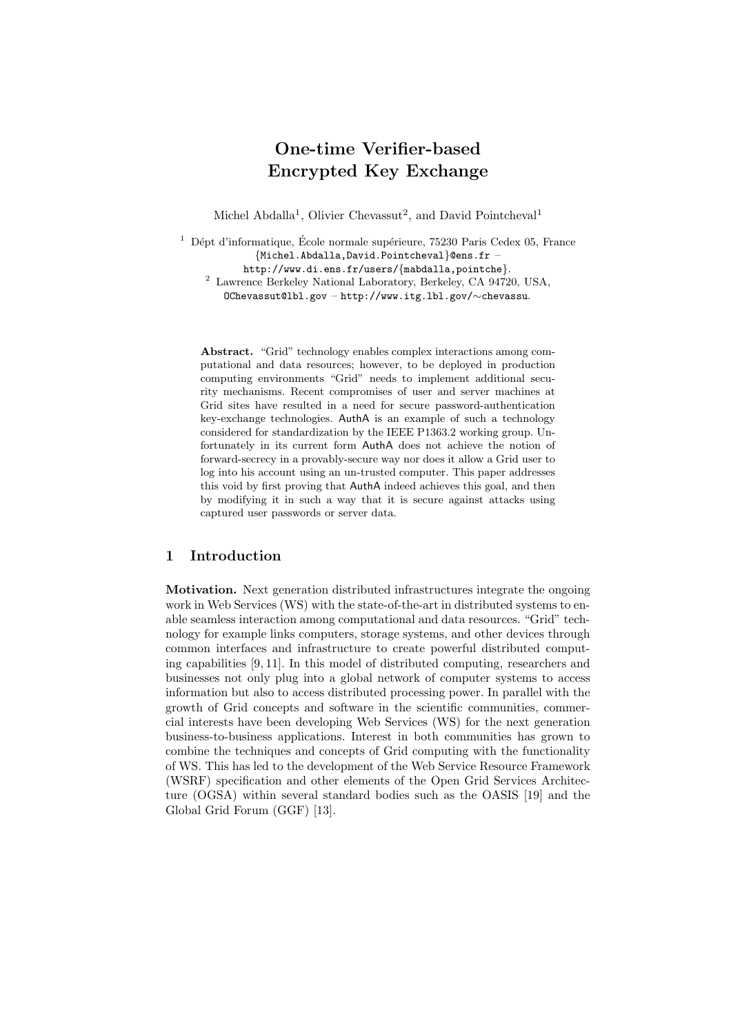# One-time Verifier-based Encrypted Key Exchange

Michel Abdalla<sup>1</sup>, Olivier Chevassut<sup>2</sup>, and David Pointcheval<sup>1</sup>

 $1$  Dépt d'informatique, École normale supérieure, 75230 Paris Cedex 05, France {Michel.Abdalla,David.Pointcheval}@ens.fr – http://www.di.ens.fr/users/{mabdalla,pointche}.

<sup>2</sup> Lawrence Berkeley National Laboratory, Berkeley, CA 94720, USA, OChevassut@lbl.gov – http://www.itg.lbl.gov/∼chevassu.

Abstract. "Grid" technology enables complex interactions among computational and data resources; however, to be deployed in production computing environments "Grid" needs to implement additional security mechanisms. Recent compromises of user and server machines at Grid sites have resulted in a need for secure password-authentication key-exchange technologies. AuthA is an example of such a technology considered for standardization by the IEEE P1363.2 working group. Unfortunately in its current form AuthA does not achieve the notion of forward-secrecy in a provably-secure way nor does it allow a Grid user to log into his account using an un-trusted computer. This paper addresses this void by first proving that AuthA indeed achieves this goal, and then by modifying it in such a way that it is secure against attacks using captured user passwords or server data.

# 1 Introduction

Motivation. Next generation distributed infrastructures integrate the ongoing work in Web Services (WS) with the state-of-the-art in distributed systems to enable seamless interaction among computational and data resources. "Grid" technology for example links computers, storage systems, and other devices through common interfaces and infrastructure to create powerful distributed computing capabilities [9, 11]. In this model of distributed computing, researchers and businesses not only plug into a global network of computer systems to access information but also to access distributed processing power. In parallel with the growth of Grid concepts and software in the scientific communities, commercial interests have been developing Web Services (WS) for the next generation business-to-business applications. Interest in both communities has grown to combine the techniques and concepts of Grid computing with the functionality of WS. This has led to the development of the Web Service Resource Framework (WSRF) specification and other elements of the Open Grid Services Architecture (OGSA) within several standard bodies such as the OASIS [19] and the Global Grid Forum (GGF) [13].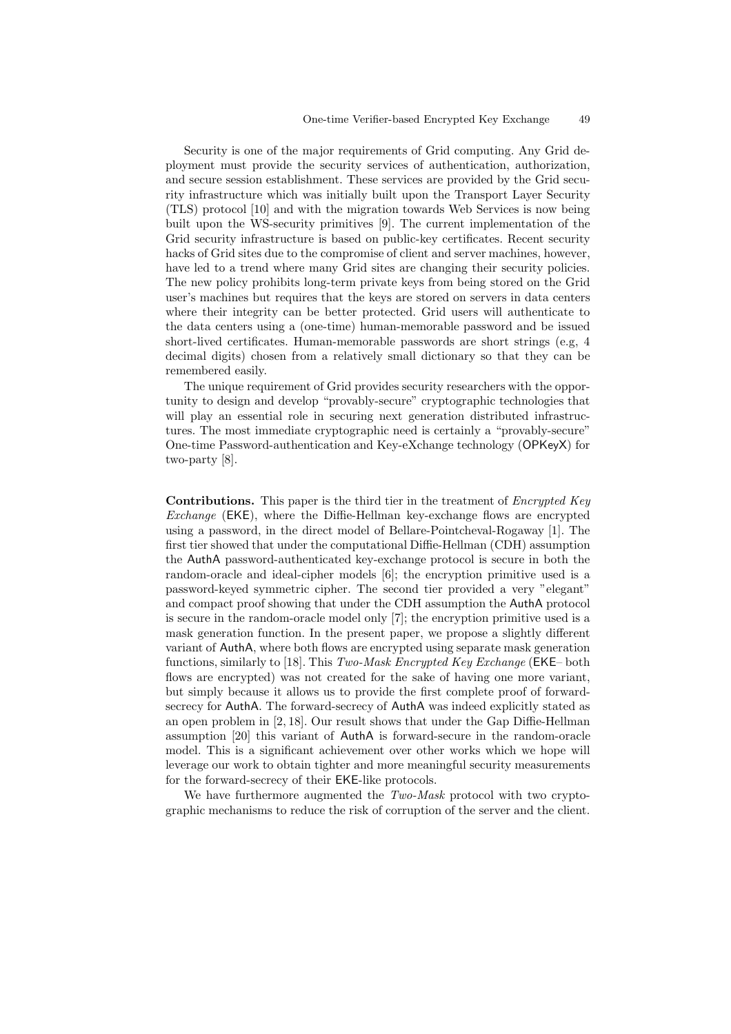Security is one of the major requirements of Grid computing. Any Grid deployment must provide the security services of authentication, authorization, and secure session establishment. These services are provided by the Grid security infrastructure which was initially built upon the Transport Layer Security (TLS) protocol [10] and with the migration towards Web Services is now being built upon the WS-security primitives [9]. The current implementation of the Grid security infrastructure is based on public-key certificates. Recent security hacks of Grid sites due to the compromise of client and server machines, however, have led to a trend where many Grid sites are changing their security policies. The new policy prohibits long-term private keys from being stored on the Grid user's machines but requires that the keys are stored on servers in data centers where their integrity can be better protected. Grid users will authenticate to the data centers using a (one-time) human-memorable password and be issued short-lived certificates. Human-memorable passwords are short strings (e.g, 4 decimal digits) chosen from a relatively small dictionary so that they can be remembered easily.

The unique requirement of Grid provides security researchers with the opportunity to design and develop "provably-secure" cryptographic technologies that will play an essential role in securing next generation distributed infrastructures. The most immediate cryptographic need is certainly a "provably-secure" One-time Password-authentication and Key-eXchange technology (OPKeyX) for two-party [8].

Contributions. This paper is the third tier in the treatment of *Encrypted Key* Exchange (EKE), where the Diffie-Hellman key-exchange flows are encrypted using a password, in the direct model of Bellare-Pointcheval-Rogaway [1]. The first tier showed that under the computational Diffie-Hellman (CDH) assumption the AuthA password-authenticated key-exchange protocol is secure in both the random-oracle and ideal-cipher models [6]; the encryption primitive used is a password-keyed symmetric cipher. The second tier provided a very "elegant" and compact proof showing that under the CDH assumption the AuthA protocol is secure in the random-oracle model only [7]; the encryption primitive used is a mask generation function. In the present paper, we propose a slightly different variant of AuthA, where both flows are encrypted using separate mask generation functions, similarly to [18]. This Two-Mask Encrypted Key Exchange (EKE– both flows are encrypted) was not created for the sake of having one more variant, but simply because it allows us to provide the first complete proof of forwardsecrecy for AuthA. The forward-secrecy of AuthA was indeed explicitly stated as an open problem in [2, 18]. Our result shows that under the Gap Diffie-Hellman assumption [20] this variant of AuthA is forward-secure in the random-oracle model. This is a significant achievement over other works which we hope will leverage our work to obtain tighter and more meaningful security measurements for the forward-secrecy of their EKE-like protocols.

We have furthermore augmented the Two-Mask protocol with two cryptographic mechanisms to reduce the risk of corruption of the server and the client.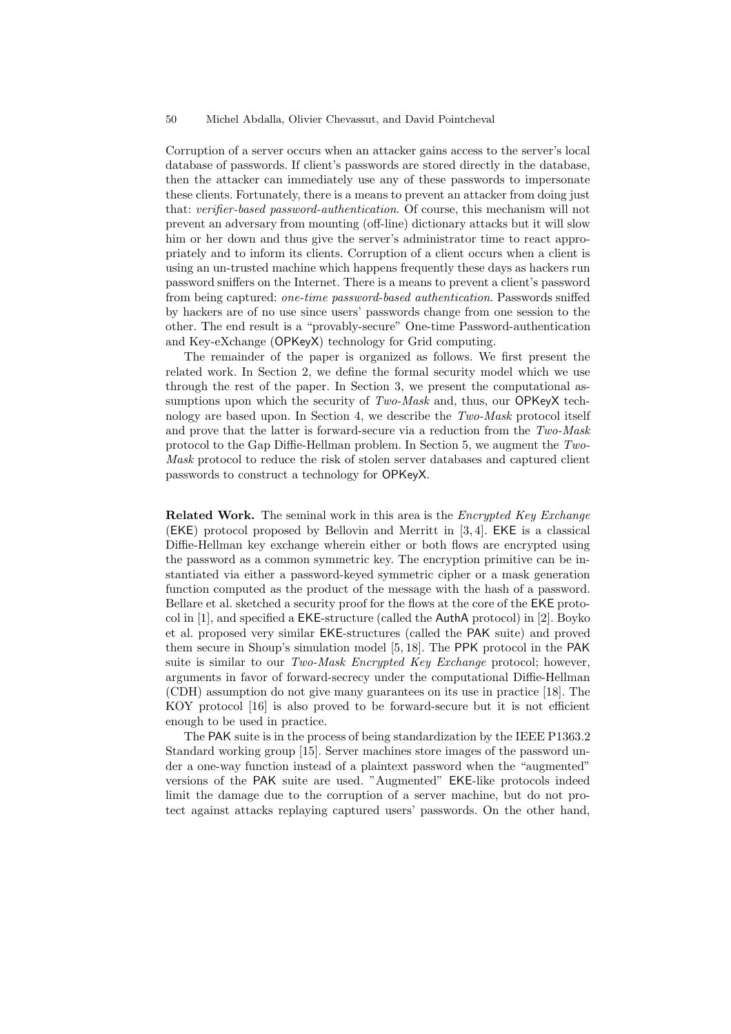Corruption of a server occurs when an attacker gains access to the server's local database of passwords. If client's passwords are stored directly in the database, then the attacker can immediately use any of these passwords to impersonate these clients. Fortunately, there is a means to prevent an attacker from doing just that: verifier-based password-authentication. Of course, this mechanism will not prevent an adversary from mounting (off-line) dictionary attacks but it will slow him or her down and thus give the server's administrator time to react appropriately and to inform its clients. Corruption of a client occurs when a client is using an un-trusted machine which happens frequently these days as hackers run password sniffers on the Internet. There is a means to prevent a client's password from being captured: one-time password-based authentication. Passwords sniffed by hackers are of no use since users' passwords change from one session to the other. The end result is a "provably-secure" One-time Password-authentication and Key-eXchange (OPKeyX) technology for Grid computing.

The remainder of the paper is organized as follows. We first present the related work. In Section 2, we define the formal security model which we use through the rest of the paper. In Section 3, we present the computational assumptions upon which the security of  $Two-Mask$  and, thus, our OPKeyX technology are based upon. In Section 4, we describe the Two-Mask protocol itself and prove that the latter is forward-secure via a reduction from the Two-Mask protocol to the Gap Diffie-Hellman problem. In Section 5, we augment the Two-Mask protocol to reduce the risk of stolen server databases and captured client passwords to construct a technology for OPKeyX.

Related Work. The seminal work in this area is the *Encrypted Key Exchange* (EKE) protocol proposed by Bellovin and Merritt in [3, 4]. EKE is a classical Diffie-Hellman key exchange wherein either or both flows are encrypted using the password as a common symmetric key. The encryption primitive can be instantiated via either a password-keyed symmetric cipher or a mask generation function computed as the product of the message with the hash of a password. Bellare et al. sketched a security proof for the flows at the core of the EKE protocol in [1], and specified a EKE-structure (called the AuthA protocol) in [2]. Boyko et al. proposed very similar EKE-structures (called the PAK suite) and proved them secure in Shoup's simulation model [5, 18]. The PPK protocol in the PAK suite is similar to our Two-Mask Encrypted Key Exchange protocol; however, arguments in favor of forward-secrecy under the computational Diffie-Hellman (CDH) assumption do not give many guarantees on its use in practice [18]. The KOY protocol [16] is also proved to be forward-secure but it is not efficient enough to be used in practice.

The PAK suite is in the process of being standardization by the IEEE P1363.2 Standard working group [15]. Server machines store images of the password under a one-way function instead of a plaintext password when the "augmented" versions of the PAK suite are used. "Augmented" EKE-like protocols indeed limit the damage due to the corruption of a server machine, but do not protect against attacks replaying captured users' passwords. On the other hand,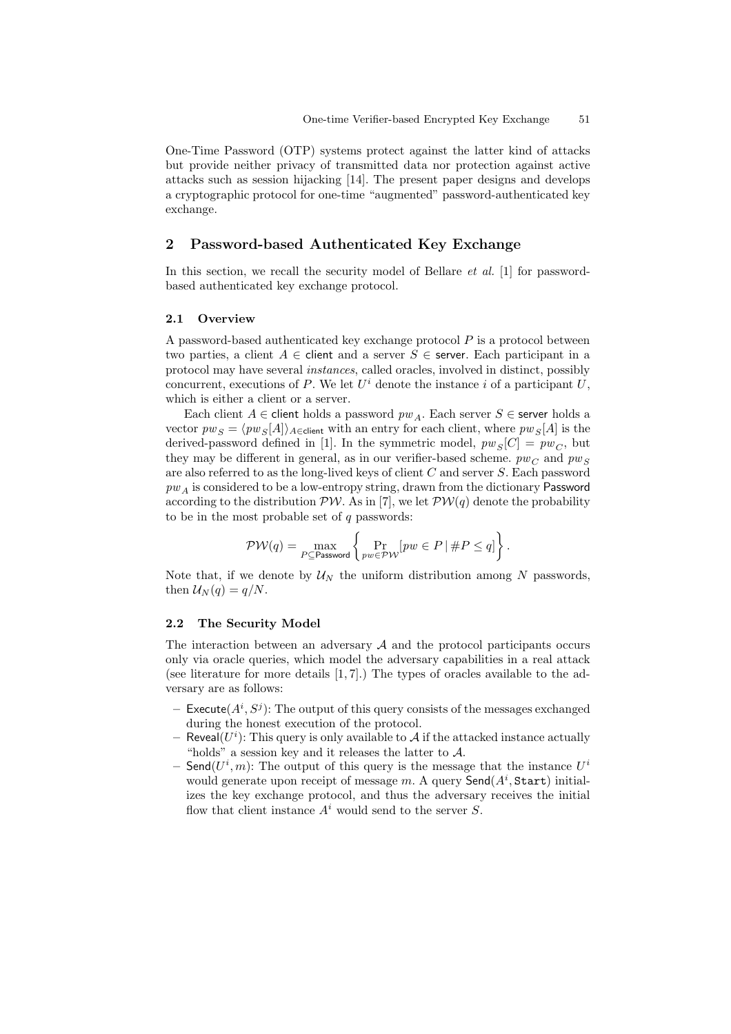One-Time Password (OTP) systems protect against the latter kind of attacks but provide neither privacy of transmitted data nor protection against active attacks such as session hijacking [14]. The present paper designs and develops a cryptographic protocol for one-time "augmented" password-authenticated key exchange.

## 2 Password-based Authenticated Key Exchange

In this section, we recall the security model of Bellare *et al.* [1] for passwordbased authenticated key exchange protocol.

#### 2.1 Overview

A password-based authenticated key exchange protocol  $P$  is a protocol between two parties, a client  $A \in$  client and a server  $S \in$  server. Each participant in a protocol may have several instances, called oracles, involved in distinct, possibly concurrent, executions of P. We let  $U^i$  denote the instance i of a participant U, which is either a client or a server.

Each client  $A \in$  client holds a password  $pw_A$ . Each server  $S \in$  server holds a vector  $pw_S = \langle pw_S[A] \rangle_{A \in \text{client}}$  with an entry for each client, where  $pw_S[A]$  is the derived-password defined in [1]. In the symmetric model,  $pw_s[C] = pw_C$ , but they may be different in general, as in our verifier-based scheme.  $pw<sub>C</sub>$  and  $pw<sub>S</sub>$ are also referred to as the long-lived keys of client C and server S. Each password  $pw_A$  is considered to be a low-entropy string, drawn from the dictionary Password according to the distribution  $\mathcal{PW}$ . As in [7], we let  $\mathcal{PW}(q)$  denote the probability to be in the most probable set of  $q$  passwords:

$$
\mathcal{PW}(q) = \max_{P \subseteq \text{Password}} \left\{ \Pr_{pw \in \mathcal{PW}}[pw \in P \mid \#P \le q] \right\}.
$$

Note that, if we denote by  $\mathcal{U}_N$  the uniform distribution among N passwords, then  $\mathcal{U}_N(q) = q/N$ .

### 2.2 The Security Model

The interaction between an adversary  $A$  and the protocol participants occurs only via oracle queries, which model the adversary capabilities in a real attack (see literature for more details  $[1, 7]$ .) The types of oracles available to the adversary are as follows:

- Execute $(A^i, S^j)$ : The output of this query consists of the messages exchanged during the honest execution of the protocol.
- Reveal $(U^i)$ : This query is only available to A if the attacked instance actually "holds" a session key and it releases the latter to  $A$ .
- Send $(U^i, m)$ : The output of this query is the message that the instance  $U^i$ would generate upon receipt of message  $m$ . A query  $\mathsf{Send}(A^i, \mathsf{Start})$  initializes the key exchange protocol, and thus the adversary receives the initial flow that client instance  $A^i$  would send to the server S.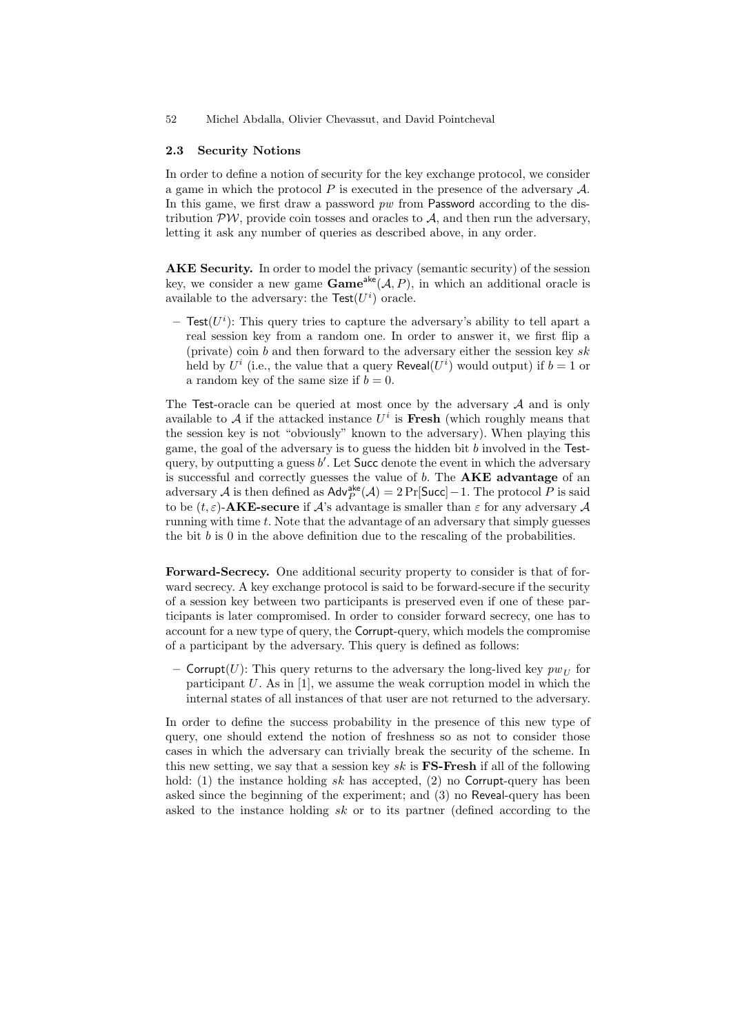#### 2.3 Security Notions

In order to define a notion of security for the key exchange protocol, we consider a game in which the protocol  $P$  is executed in the presence of the adversary  $\mathcal{A}$ . In this game, we first draw a password  $pw$  from Password according to the distribution  $PW$ , provide coin tosses and oracles to  $A$ , and then run the adversary, letting it ask any number of queries as described above, in any order.

AKE Security. In order to model the privacy (semantic security) of the session key, we consider a new game  $\mathbf{Game}^{\mathsf{ake}}(\mathcal{A}, P)$ , in which an additional oracle is available to the adversary: the  $\textsf{Test}(U^i)$  oracle.

 $-$  Test $(U<sup>i</sup>)$ : This query tries to capture the adversary's ability to tell apart a real session key from a random one. In order to answer it, we first flip a (private) coin b and then forward to the adversary either the session key  $sk$ held by  $U^i$  (i.e., the value that a query  $\mathsf{Reveal}(U^i)$  would output) if  $b = 1$  or a random key of the same size if  $b = 0$ .

The Test-oracle can be queried at most once by the adversary  $A$  and is only available to  $A$  if the attacked instance  $U^i$  is Fresh (which roughly means that the session key is not "obviously" known to the adversary). When playing this game, the goal of the adversary is to guess the hidden bit b involved in the Testquery, by outputting a guess  $b'$ . Let Succ denote the event in which the adversary is successful and correctly guesses the value of  $b$ . The  $AKE$  advantage of an adversary A is then defined as  $\mathsf{Adv}_{P}^{\mathsf{ake}}(\mathcal{A}) = 2\Pr[\mathsf{Succ}] - 1$ . The protocol P is said to be  $(t, \varepsilon)$ -**AKE-secure** if A's advantage is smaller than  $\varepsilon$  for any adversary A running with time  $t$ . Note that the advantage of an adversary that simply guesses the bit b is 0 in the above definition due to the rescaling of the probabilities.

Forward-Secrecy. One additional security property to consider is that of forward secrecy. A key exchange protocol is said to be forward-secure if the security of a session key between two participants is preserved even if one of these participants is later compromised. In order to consider forward secrecy, one has to account for a new type of query, the Corrupt-query, which models the compromise of a participant by the adversary. This query is defined as follows:

– Corrupt(U): This query returns to the adversary the long-lived key  $pw_{II}$  for participant  $U$ . As in [1], we assume the weak corruption model in which the internal states of all instances of that user are not returned to the adversary.

In order to define the success probability in the presence of this new type of query, one should extend the notion of freshness so as not to consider those cases in which the adversary can trivially break the security of the scheme. In this new setting, we say that a session key sk is  $FS$ -Fresh if all of the following hold: (1) the instance holding sk has accepted, (2) no Corrupt-query has been asked since the beginning of the experiment; and (3) no Reveal-query has been asked to the instance holding sk or to its partner (defined according to the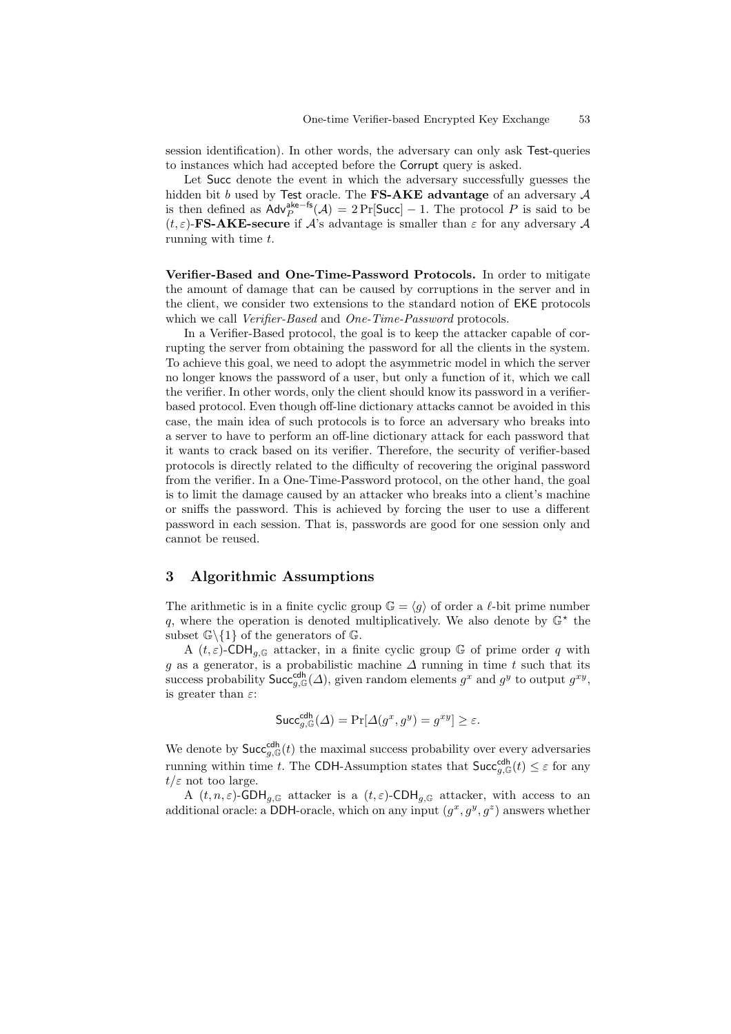session identification). In other words, the adversary can only ask Test-queries to instances which had accepted before the Corrupt query is asked.

Let Succ denote the event in which the adversary successfully guesses the hidden bit  $b$  used by Test oracle. The FS-AKE advantage of an adversary  $A$ is then defined as  $\mathsf{Adv}_{P}^{\mathsf{ake-fs}}(\mathcal{A}) = 2 \Pr[\mathsf{Succ}] - 1$ . The protocol P is said to be  $(t, \varepsilon)$ -**FS-AKE-secure** if A's advantage is smaller than  $\varepsilon$  for any adversary A running with time  $t$ .

Verifier-Based and One-Time-Password Protocols. In order to mitigate the amount of damage that can be caused by corruptions in the server and in the client, we consider two extensions to the standard notion of EKE protocols which we call Verifier-Based and One-Time-Password protocols.

In a Verifier-Based protocol, the goal is to keep the attacker capable of corrupting the server from obtaining the password for all the clients in the system. To achieve this goal, we need to adopt the asymmetric model in which the server no longer knows the password of a user, but only a function of it, which we call the verifier. In other words, only the client should know its password in a verifierbased protocol. Even though off-line dictionary attacks cannot be avoided in this case, the main idea of such protocols is to force an adversary who breaks into a server to have to perform an off-line dictionary attack for each password that it wants to crack based on its verifier. Therefore, the security of verifier-based protocols is directly related to the difficulty of recovering the original password from the verifier. In a One-Time-Password protocol, on the other hand, the goal is to limit the damage caused by an attacker who breaks into a client's machine or sniffs the password. This is achieved by forcing the user to use a different password in each session. That is, passwords are good for one session only and cannot be reused.

# 3 Algorithmic Assumptions

The arithmetic is in a finite cyclic group  $\mathbb{G} = \langle g \rangle$  of order a  $\ell$ -bit prime number q, where the operation is denoted multiplicatively. We also denote by  $\mathbb{G}^*$  the subset  $\mathbb{G}\backslash\{1\}$  of the generators of  $\mathbb{G}$ .

A  $(t, \varepsilon)$ -CDH<sub>q, G</sub> attacker, in a finite cyclic group G of prime order q with g as a generator, is a probabilistic machine  $\Delta$  running in time t such that its success probability  $\mathsf{Succ}_{g,\mathbb{G}}^{\mathsf{cdh}}(\Delta)$ , given random elements  $g^x$  and  $g^y$  to output  $g^{xy}$ , is greater than  $\varepsilon$ :

$$
\mathsf{Succ}^{\mathsf{cdh}}_{g,\mathbb{G}}(\varDelta)=\Pr[\varDelta(g^x,g^y)=g^{xy}]\geq\varepsilon.
$$

We denote by  $\mathsf{Succ}_{g,\mathbb{G}}^{\mathsf{cdh}}(t)$  the maximal success probability over every adversaries running within time t. The CDH-Assumption states that  $\mathsf{Succ}^{\mathsf{cdh}}_{g,\mathbb{G}}(t) \leq \varepsilon$  for any  $t/\varepsilon$  not too large.

A  $(t, n, \varepsilon)$ -GDH<sub>a,G</sub> attacker is a  $(t, \varepsilon)$ -CDH<sub>a,G</sub> attacker, with access to an additional oracle: a DDH-oracle, which on any input  $(g^x, g^y, g^z)$  answers whether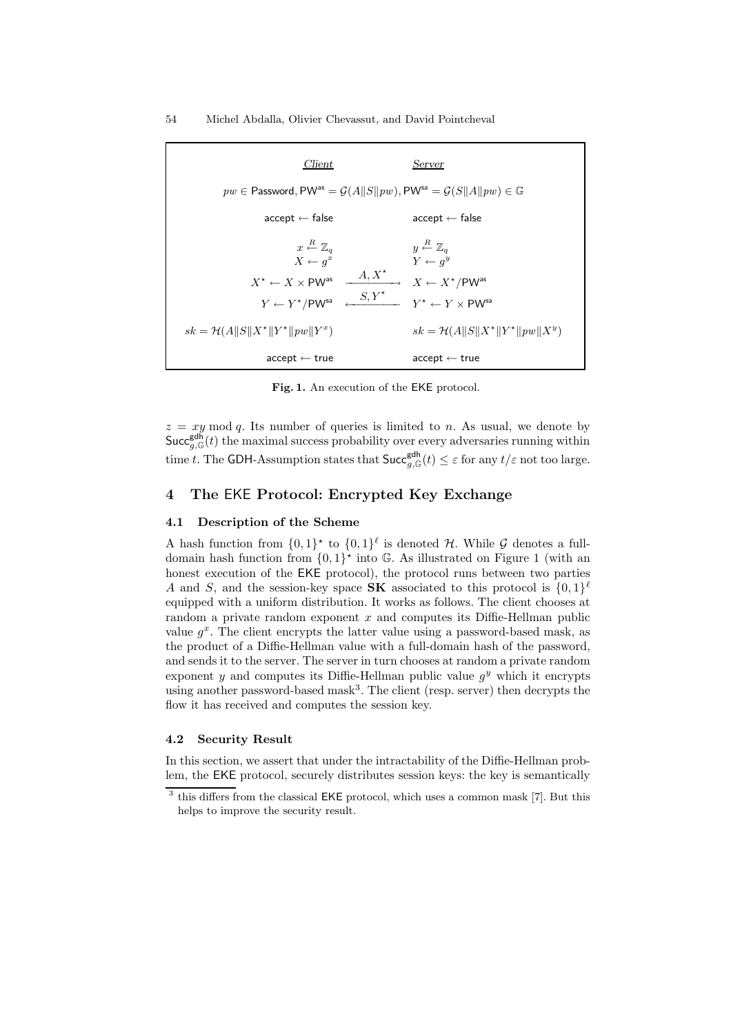| Client                                                                                                                                |                                                                                                                                                      | Server                                                                                                                                     |  |  |
|---------------------------------------------------------------------------------------------------------------------------------------|------------------------------------------------------------------------------------------------------------------------------------------------------|--------------------------------------------------------------------------------------------------------------------------------------------|--|--|
| $pw \in$ Password, PW <sup>as</sup> = $\mathcal{G}(A  S  pw)$ , PW <sup>sa</sup> = $\mathcal{G}(S  A  pw) \in \mathbb{G}$             |                                                                                                                                                      |                                                                                                                                            |  |  |
| $accept \leftarrow false$                                                                                                             |                                                                                                                                                      | $accept \leftarrow false$                                                                                                                  |  |  |
| $X^{\star} \leftarrow X \times \mathsf{PW}^{\mathsf{as}} \xrightarrow{A, X^{\star}} X \leftarrow X^{\star}/\mathsf{PW}^{\mathsf{as}}$ | $x \stackrel{\textit{R}}{\leftarrow} \mathbb{Z}_q$<br>$X \leftarrow g^x$<br>$y \stackrel{\textit{R}}{\leftarrow} \mathbb{Z}_q$<br>$Y \leftarrow g^y$ | $Y \leftarrow Y^{\star}/\textsf{PW}^{\textsf{sa}} \leftarrow \frac{S, Y^{\star}}{Y^{\star} \leftarrow Y \times \textsf{PW}^{\textsf{sa}}}$ |  |  |
| $sk = \mathcal{H}(A  S  X^*  Y^*  pw  Y^x)$                                                                                           |                                                                                                                                                      | $sk = \mathcal{H}(A  S  X^{\star}  Y^{\star}  pw  X^y)$                                                                                    |  |  |
| $accept \leftarrow true$                                                                                                              |                                                                                                                                                      | $accept \leftarrow true$                                                                                                                   |  |  |

Fig. 1. An execution of the EKE protocol.

 $z = xy \mod q$ . Its number of queries is limited to n. As usual, we denote by  $\mathsf{Succ}_{g,\mathbb{G}}^{\mathsf{gdf}}(t)$  the maximal success probability over every adversaries running within time t. The GDH-Assumption states that  $\mathsf{Succ}^{\mathsf{gdh}}_{g,\mathbb{G}}(t) \leq \varepsilon$  for any  $t/\varepsilon$  not too large.

# 4 The EKE Protocol: Encrypted Key Exchange

### 4.1 Description of the Scheme

A hash function from  $\{0,1\}^*$  to  $\{0,1\}^{\ell}$  is denoted H. While G denotes a fulldomain hash function from  $\{0,1\}^*$  into G. As illustrated on Figure 1 (with an honest execution of the EKE protocol), the protocol runs between two parties A and S, and the session-key space **SK** associated to this protocol is  $\{0,1\}^{\ell}$ equipped with a uniform distribution. It works as follows. The client chooses at random a private random exponent  $x$  and computes its Diffie-Hellman public value  $g^x$ . The client encrypts the latter value using a password-based mask, as the product of a Diffie-Hellman value with a full-domain hash of the password, and sends it to the server. The server in turn chooses at random a private random exponent y and computes its Diffie-Hellman public value  $g<sup>y</sup>$  which it encrypts using another password-based mask<sup>3</sup>. The client (resp. server) then decrypts the flow it has received and computes the session key.

#### 4.2 Security Result

In this section, we assert that under the intractability of the Diffie-Hellman problem, the EKE protocol, securely distributes session keys: the key is semantically

<sup>&</sup>lt;sup>3</sup> this differs from the classical **EKE** protocol, which uses a common mask [7]. But this helps to improve the security result.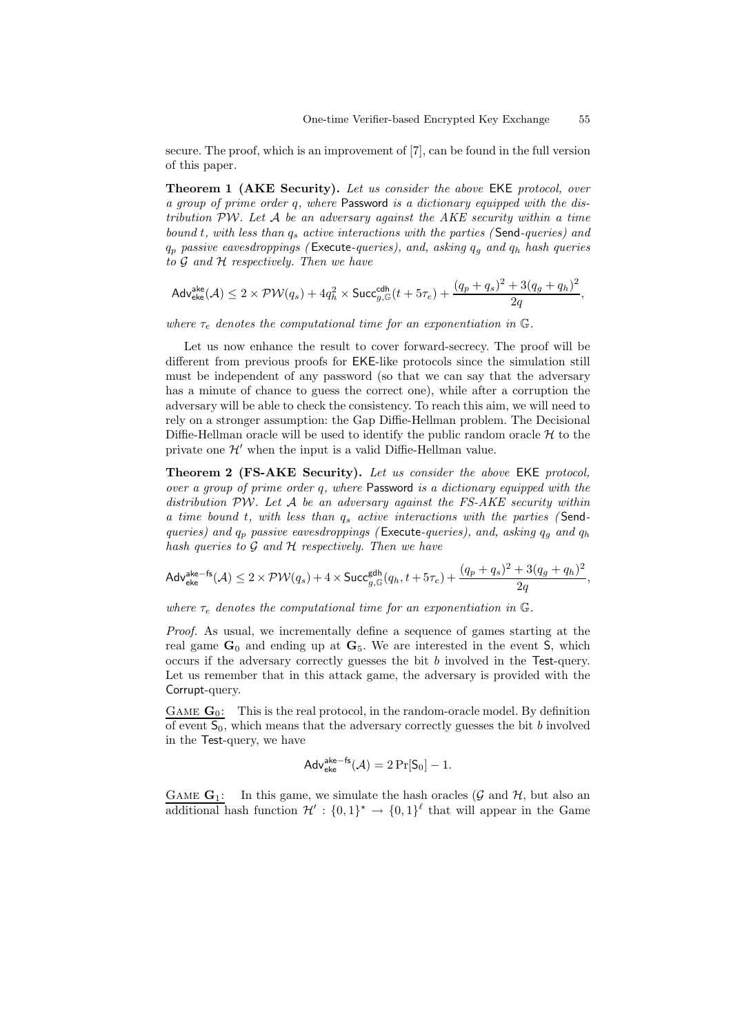secure. The proof, which is an improvement of [7], can be found in the full version of this paper.

**Theorem 1 (AKE Security).** Let us consider the above EKE protocol, over a group of prime order q, where Password is a dictionary equipped with the distribution PW. Let A be an adversary against the AKE security within a time bound t, with less than  $q_s$  active interactions with the parties (Send-queries) and  $q_p$  passive eavesdroppings (Execute-queries), and, asking  $q_g$  and  $q_h$  hash queries to  $G$  and  $H$  respectively. Then we have

$$
\mathsf{Adv}^{\mathsf{ake}}_{\mathsf{eke}}(\mathcal{A}) \leq 2 \times \mathcal{PW}(q_s) + 4q_h^2 \times \mathsf{Succ}^{\mathsf{cdh}}_{g,\mathbb{G}}(t+5\tau_e) + \frac{(q_p+q_s)^2 + 3(q_g+q_h)^2}{2q},
$$

where  $\tau_e$  denotes the computational time for an exponentiation in  $\mathbb{G}$ .

Let us now enhance the result to cover forward-secrecy. The proof will be different from previous proofs for EKE-like protocols since the simulation still must be independent of any password (so that we can say that the adversary has a minute of chance to guess the correct one), while after a corruption the adversary will be able to check the consistency. To reach this aim, we will need to rely on a stronger assumption: the Gap Diffie-Hellman problem. The Decisional Diffie-Hellman oracle will be used to identify the public random oracle  $H$  to the private one  $\mathcal{H}'$  when the input is a valid Diffie-Hellman value.

Theorem 2 (FS-AKE Security). Let us consider the above EKE protocol, over a group of prime order q, where Password is a dictionary equipped with the distribution PW. Let A be an adversary against the FS-AKE security within a time bound  $t$ , with less than  $q_s$  active interactions with the parties (Sendqueries) and  $q_p$  passive eavesdroppings (Execute-queries), and, asking  $q_q$  and  $q_h$ hash queries to  $\mathcal G$  and  $\mathcal H$  respectively. Then we have

$$
\mathsf{Adv}^{\mathsf{ake-fs}}_{\mathsf{eke}}(\mathcal{A}) \leq 2 \times \mathcal{PW}(q_s) + 4 \times \mathsf{Succ}^{\mathsf{gdh}}_{g,\mathbb{G}}(q_h, t+5\tau_e) + \frac{(q_p+q_s)^2 + 3(q_g+q_h)^2}{2q},
$$

where  $\tau_e$  denotes the computational time for an exponentiation in  $\mathbb{G}$ .

Proof. As usual, we incrementally define a sequence of games starting at the real game  $G_0$  and ending up at  $G_5$ . We are interested in the event S, which occurs if the adversary correctly guesses the bit b involved in the Test-query. Let us remember that in this attack game, the adversary is provided with the Corrupt-query.

GAME  $\mathbf{G}_0$ : This is the real protocol, in the random-oracle model. By definition of event  $S_0$ , which means that the adversary correctly guesses the bit b involved in the Test-query, we have

$$
Adv_{\text{eke}}^{\text{ake-fs}}(\mathcal{A}) = 2\Pr[S_0] - 1.
$$

GAME  $G_1$ : In this game, we simulate the hash oracles (G and H, but also an additional hash function  $\mathcal{H}' : \{0,1\}^* \to \{0,1\}^{\ell}$  that will appear in the Game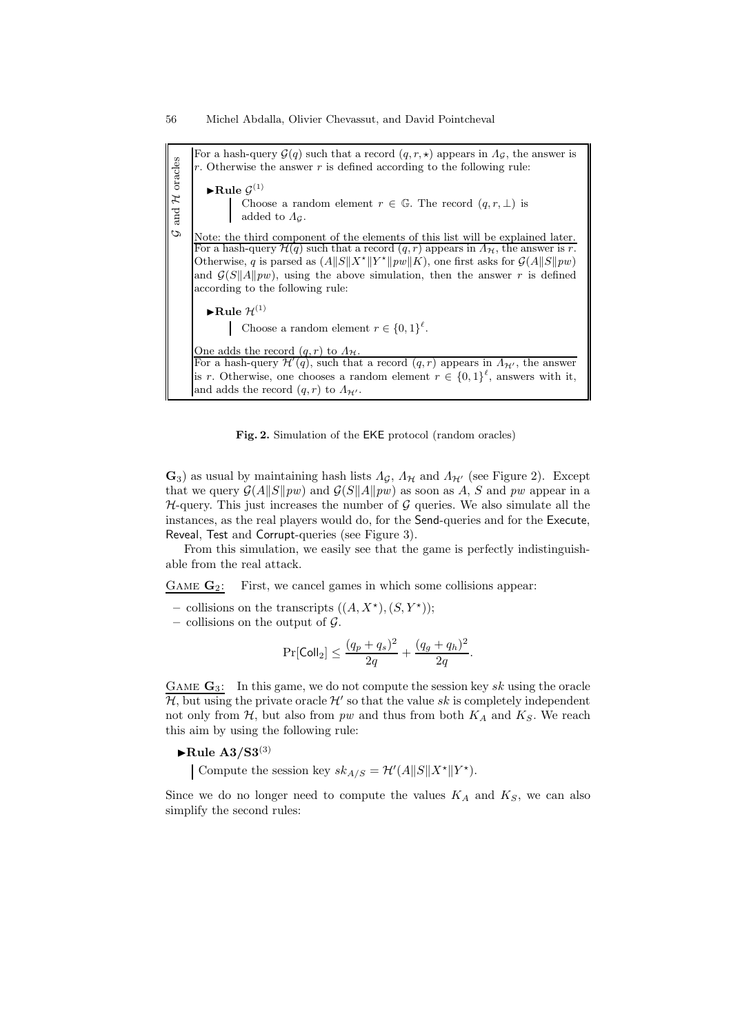$\mathcal C$  ${\cal G}$  and H oracles For a hash-query  $\mathcal{G}(q)$  such that a record  $(q, r, \star)$  appears in  $\Lambda_{\mathcal{G}}$ , the answer is  $r$ . Otherwise the answer  $r$  is defined according to the following rule:  $\blacktriangleright$ Rule  $\mathcal{G}^{(1)}$ Choose a random element  $r \in \mathbb{G}$ . The record  $(q, r, \perp)$  is added to  $A_{\mathcal{G}}$ . Note: the third component of the elements of this list will be explained later. For a hash-query  $\mathcal{H}(q)$  such that a record  $(q, r)$  appears in  $\Lambda_{\mathcal{H}}$ , the answer is r. Otherwise, q is parsed as  $(A||S||X^*||Y^*||pw||K)$ , one first asks for  $\mathcal{G}(A||S||pw)$ and  $\mathcal{G}(S||A||pw)$ , using the above simulation, then the answer r is defined according to the following rule:  $\blacktriangleright$  Rule  $\mathcal{H}^{(1)}$ Choose a random element  $r \in \{0,1\}^{\ell}$ . One adds the record  $(q, r)$  to  $\Lambda_{\mathcal{H}}$ . For a hash-query  $\mathcal{H}'(\vec{q})$ , such that a record  $(q, r)$  appears in  $\Lambda_{\mathcal{H}'},$  the answer is r. Otherwise, one chooses a random element  $r \in \{0,1\}^{\ell}$ , answers with it, and adds the record  $(q, r)$  to  $\Lambda_{\mathcal{H}}$ .

Fig. 2. Simulation of the EKE protocol (random oracles)

 $\mathbf{G}_3$ ) as usual by maintaining hash lists  $\Lambda_{\mathcal{G}}, \Lambda_{\mathcal{H}}$  and  $\Lambda_{\mathcal{H}'}$  (see Figure 2). Except that we query  $\mathcal{G}(A||S||pw)$  and  $\mathcal{G}(S||A||pw)$  as soon as A, S and pw appear in a  $H$ -query. This just increases the number of  $G$  queries. We also simulate all the instances, as the real players would do, for the Send-queries and for the Execute, Reveal, Test and Corrupt-queries (see Figure 3).

From this simulation, we easily see that the game is perfectly indistinguishable from the real attack.

GAME  $\mathbf{G}_2$ : First, we cancel games in which some collisions appear:

- collisions on the transcripts  $((A, X^{\star}), (S, Y^{\star}))$ ;
- collisions on the output of  $\mathcal{G}$ .

$$
\Pr[\text{Coll}_2] \le \frac{(q_p+q_s)^2}{2q} + \frac{(q_g+q_h)^2}{2q}.
$$

GAME  $\mathbf{G}_3$ : In this game, we do not compute the session key sk using the oracle  $\mathcal{H}$ , but using the private oracle  $\mathcal{H}'$  so that the value sk is completely independent not only from  $H$ , but also from pw and thus from both  $K_A$  and  $K_S$ . We reach this aim by using the following rule:

 $\blacktriangleright$ Rule A3/S3<sup>(3)</sup>

Compute the session key  $sk_{A/S} = \mathcal{H}'(A||S||X^*||Y^*).$ 

Since we do no longer need to compute the values  $K_A$  and  $K_S$ , we can also simplify the second rules: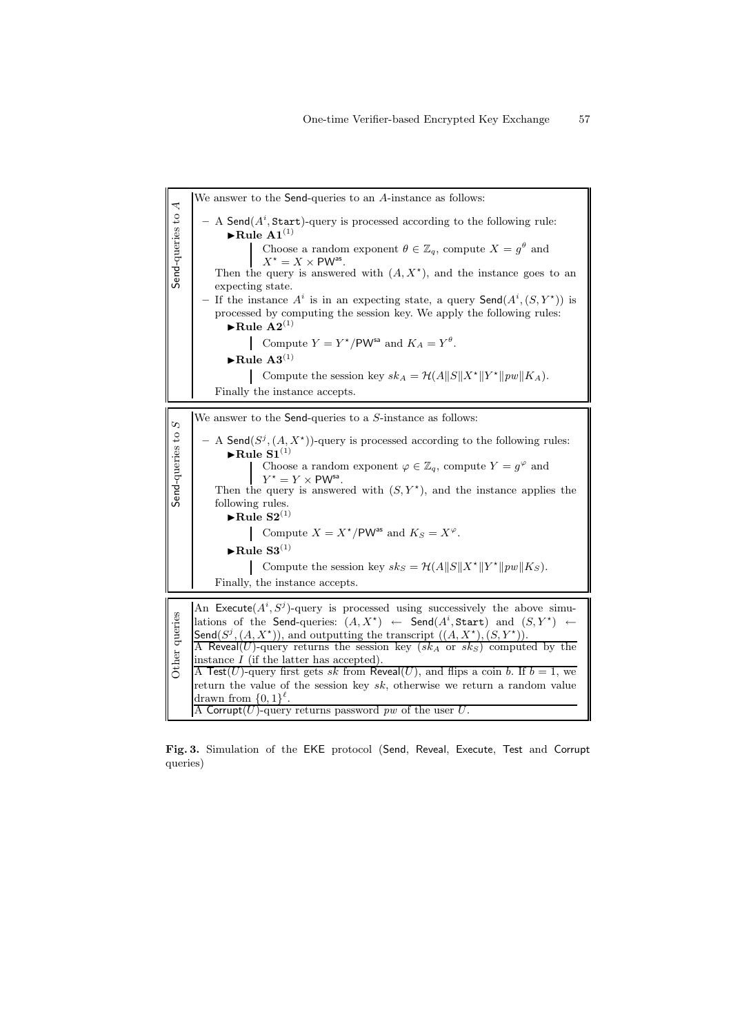|                   | We answer to the Send-queries to an A-instance as follows:                                                                                                                                                                                                                                                                                                                                                                                                                                                                                                                                                                                                                                                                        |
|-------------------|-----------------------------------------------------------------------------------------------------------------------------------------------------------------------------------------------------------------------------------------------------------------------------------------------------------------------------------------------------------------------------------------------------------------------------------------------------------------------------------------------------------------------------------------------------------------------------------------------------------------------------------------------------------------------------------------------------------------------------------|
| Send-queries to A | - A Send $(A^i, \text{Start})$ -query is processed according to the following rule:<br>$\blacktriangleright$ Rule $A1^{(1)}$<br>Choose a random exponent $\theta \in \mathbb{Z}_q$ , compute $X = g^{\theta}$ and<br>$X^* = X \times \text{PW}^{as}$ .<br>Then the query is answered with $(A, X^*)$ , and the instance goes to an<br>expecting state.<br>- If the instance $A^i$ is in an expecting state, a query $\mathsf{Send}(A^i,(S,Y^*))$ is<br>processed by computing the session key. We apply the following rules:<br>$\blacktriangleright$ Rule A2 <sup>(1)</sup><br>Compute $Y = Y^*/P W^{sa}$ and $K_A = Y^{\theta}$ .                                                                                               |
|                   | $\blacktriangleright$ Rule A3 <sup>(1)</sup><br>Compute the session key $sk_A = \mathcal{H}(A  S  X^*  Y^*  pw  K_A)$ .<br>Finally the instance accepts.                                                                                                                                                                                                                                                                                                                                                                                                                                                                                                                                                                          |
| Send-queries to S | We answer to the Send-queries to a $S$ -instance as follows:<br>- A Send $(S^j, (A, X^*))$ -query is processed according to the following rules:<br>$\blacktriangleright$ Rule $S1^{(1)}$<br>Choose a random exponent $\varphi \in \mathbb{Z}_q$ , compute $Y = g^{\varphi}$ and<br>$Y^* = Y \times \text{PW}^{\text{sa}}$ .<br>Then the query is answered with $(S, Y^*)$ , and the instance applies the<br>following rules.<br>$\blacktriangleright$ Rule $S2^{(1)}$<br>Compute $X = X^*/P W^{as}$ and $K_S = X^{\varphi}$ .<br>$\blacktriangleright$ Rule $\text{S3}^{(1)}$<br>Compute the session key $sk_S = \mathcal{H}(A  S  X^*  Y^*  pw  K_S)$ .<br>Finally, the instance accepts.                                       |
| Other queries     | An Execute( $A^i$ , $S^j$ )-query is processed using successively the above simu-<br>lations of the Send-queries: $(A, X^*) \leftarrow$ Send $(A^i, \text{Start})$ and $(S, Y^*)$<br>Send $(S^j, (A, X^{\star}))$ , and outputting the transcript $((A, X^{\star}), (S, Y^{\star}))$ .<br>A Reveal(U)-query returns the session key $(\overrightarrow{sk_A} \text{ or } \overrightarrow{sk_S})$ computed by the<br>instance $I$ (if the latter has accepted).<br>A Test(U)-query first gets sk from Reveal(U), and flips a coin b. If $b = 1$ , we<br>return the value of the session key $sk$ , otherwise we return a random value<br>drawn from $\{0,1\}^{\ell}$ .<br>A Corrupt $(U)$ -query returns password pw of the user U. |

Fig. 3. Simulation of the EKE protocol (Send, Reveal, Execute, Test and Corrupt queries)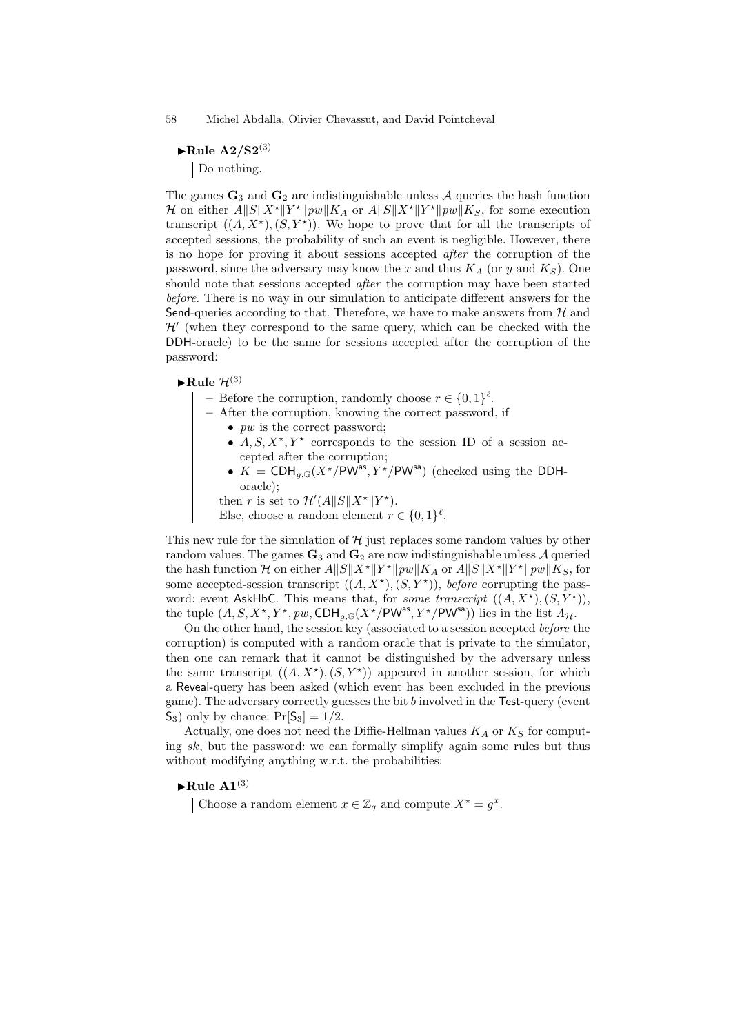# $\blacktriangleright$ Rule A2/S2<sup>(3)</sup>

Do nothing.

The games  $\mathbf{G}_3$  and  $\mathbf{G}_2$  are indistinguishable unless A queries the hash function H on either  $A||S||X^*||Y^*||pw||K_A$  or  $A||S||X^*||Y^*||pw||K_S$ , for some execution transcript  $((A, X^*), (S, Y^*))$ . We hope to prove that for all the transcripts of accepted sessions, the probability of such an event is negligible. However, there is no hope for proving it about sessions accepted after the corruption of the password, since the adversary may know the x and thus  $K_A$  (or y and  $K_S$ ). One should note that sessions accepted *after* the corruption may have been started before. There is no way in our simulation to anticipate different answers for the Send-queries according to that. Therefore, we have to make answers from  $H$  and  $H'$  (when they correspond to the same query, which can be checked with the DDH-oracle) to be the same for sessions accepted after the corruption of the password:

## $\blacktriangleright {\rm Rule}~\mathcal{H}^{(3)}$

- Before the corruption, randomly choose  $r \in \{0,1\}^{\ell}$ .
- After the corruption, knowing the correct password, if
	- *pw* is the correct password;
	- $A, S, X^*, Y^*$  corresponds to the session ID of a session accepted after the corruption;
	- $K = \text{CDH}_{g,\mathbb{G}}(X^*/\text{PW}^{\text{as}}, Y^*/\text{PW}^{\text{sa}})$  (checked using the DDHoracle);
	- then r is set to  $\mathcal{H}'(A||S||X^*||Y^*)$ .
	- Else, choose a random element  $r \in \{0,1\}^{\ell}$ .

This new rule for the simulation of  $H$  just replaces some random values by other random values. The games  $G_3$  and  $G_2$  are now indistinguishable unless A queried the hash function H on either  $A||S||X^*||Y^*||pw||K_A$  or  $A||S||X^*||Y^*||pw||K_S$ , for some accepted-session transcript  $((A, X^{\star}), (S, Y^{\star}))$ , before corrupting the password: event AskHbC. This means that, for *some transcript*  $((A, X^*), (S, Y^*))$ , the tuple  $(A, S, X^{\star}, Y^{\star}, pw, \text{CDH}_{g, \mathbb{G}}(X^{\star}/\text{PW}^{\text{as}}, Y^{\star}/\text{PW}^{\text{sa}}))$  lies in the list  $\Lambda_{\mathcal{H}}$ .

On the other hand, the session key (associated to a session accepted before the corruption) is computed with a random oracle that is private to the simulator, then one can remark that it cannot be distinguished by the adversary unless the same transcript  $((A, X^{\star}), (S, Y^{\star}))$  appeared in another session, for which a Reveal-query has been asked (which event has been excluded in the previous game). The adversary correctly guesses the bit b involved in the Test-query (event  $S_3$ ) only by chance:  $Pr[S_3] = 1/2$ .

Actually, one does not need the Diffie-Hellman values  $K_A$  or  $K_S$  for computing  $sk$ , but the password: we can formally simplify again some rules but thus without modifying anything w.r.t. the probabilities:

# $\blacktriangleright {\rm Rule\ A1}^{(3)}$

Choose a random element  $x \in \mathbb{Z}_q$  and compute  $X^* = g^x$ .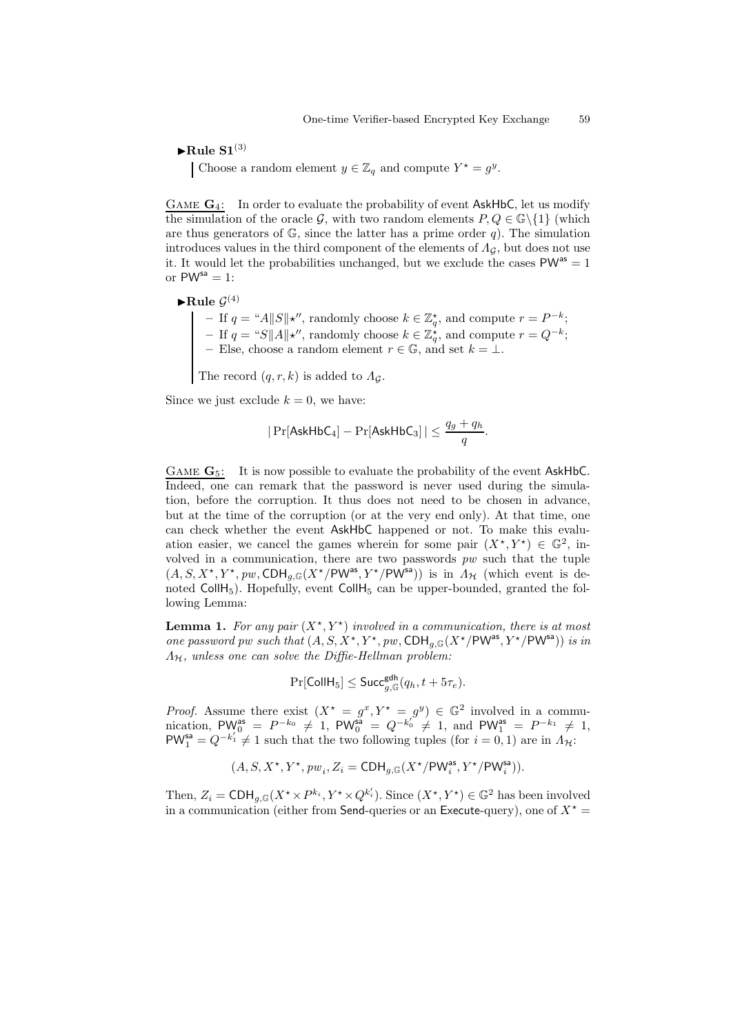# $\blacktriangleright$ Rule S1<sup>(3)</sup>

Choose a random element  $y \in \mathbb{Z}_q$  and compute  $Y^* = g^y$ .

GAME  $G_4$ : In order to evaluate the probability of event AskHbC, let us modify the simulation of the oracle G, with two random elements  $P, Q \in \mathbb{G}\backslash\{1\}$  (which are thus generators of  $\mathbb{G}$ , since the latter has a prime order q). The simulation introduces values in the third component of the elements of  $\Lambda_{\mathcal{G}}$ , but does not use it. It would let the probabilities unchanged, but we exclude the cases  $PW^{as} = 1$ or  $PW^{sa} = 1$ :

 $\blacktriangleright \text{Rule}~\mathcal{G}^{(4)}$ - If  $q = "A||S||\star"$ , randomly choose  $k \in \mathbb{Z}_q^*$ , and compute  $r = P^{-k}$ ; - If  $q = "S||A||\star"$ , randomly choose  $k \in \mathbb{Z}_q^*$ , and compute  $r = Q^{-k}$ ; – Else, choose a random element  $r \in \mathbb{G}$ , and set  $k = \bot$ .

The record  $(q, r, k)$  is added to  $A<sub>G</sub>$ .

Since we just exclude  $k = 0$ , we have:

$$
|\Pr[\mathsf{AskHbC_4}] - \Pr[\mathsf{AskHbC_3}]| \leq \frac{q_g + q_h}{q}.
$$

GAME  $G_5$ : It is now possible to evaluate the probability of the event AskHbC. Indeed, one can remark that the password is never used during the simulation, before the corruption. It thus does not need to be chosen in advance, but at the time of the corruption (or at the very end only). At that time, one can check whether the event AskHbC happened or not. To make this evaluation easier, we cancel the games wherein for some pair  $(X^*, Y^*) \in \mathbb{G}^2$ , involved in a communication, there are two passwords  $pw$  such that the tuple  $(A, S, X^{\star}, Y^{\star}, pw, \text{CDH}_{g,\mathbb{G}}(X^{\star}/PW^{as}, Y^{\star}/PW^{sa}))$  is in  $\Lambda_{\mathcal{H}}$  (which event is denoted CollH<sub>5</sub>). Hopefully, event CollH<sub>5</sub> can be upper-bounded, granted the following Lemma:

**Lemma 1.** For any pair  $(X^*, Y^*)$  involved in a communication, there is at most one password pw such that  $(A, S, X^*, Y^*, pw, \text{CDH}_{g, \mathbb{G}}(X^*/PW^{as}, Y^*/PW^{sa}))$  is in  $\Lambda_{\mathcal{H}}$ , unless one can solve the Diffie-Hellman problem:

$$
\Pr[\mathsf{CollH}_5] \leq \mathsf{Succ}_{g,\mathbb{G}}^{\mathsf{gdh}}(q_h, t+5\tau_e).
$$

*Proof.* Assume there exist  $(X^* = g^x, Y^* = g^y) \in \mathbb{G}^2$  involved in a communication,  $PW_0^{as} = P^{-k_0} \neq 1$ ,  $PW_0^{sa} = Q^{-k_0' \neq 1}$ , and  $PW_1^{as} = P^{-k_1} \neq 1$ ,  $PW_1^{sa} = Q^{-k_1'} \neq 1$  such that the two following tuples (for  $i = 0, 1$ ) are in  $\Lambda_H$ .

$$
(A,S,X^\star,Y^\star, pw_i, Z_i = \mathsf{CDH}_{g,\mathbb{G}}(X^\star/\mathsf{PW}_i^{\mathsf{as}},Y^\star/\mathsf{PW}_i^{\mathsf{sa}})).
$$

Then,  $Z_i = \text{CDH}_{g,\mathbb{G}}(X^* \times P^{k_i}, Y^* \times Q^{k'_i})$ . Since  $(X^*, Y^*) \in \mathbb{G}^2$  has been involved in a communication (either from Send-queries or an Execute-query), one of  $X^*$  =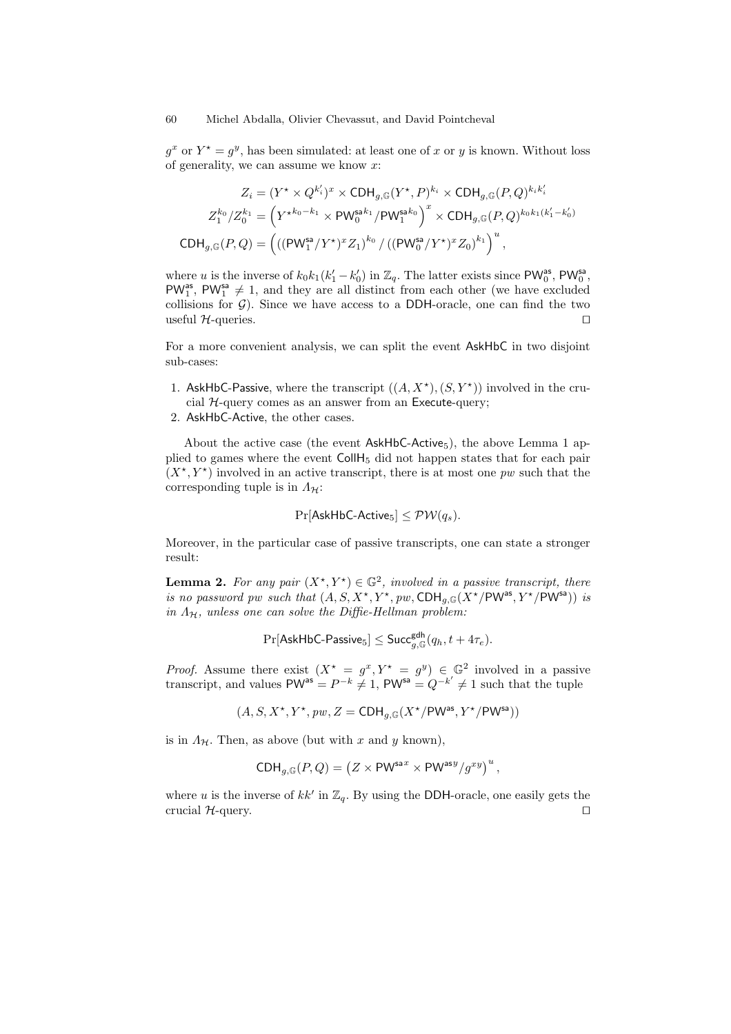$g^x$  or  $Y^* = g^y$ , has been simulated: at least one of x or y is known. Without loss of generality, we can assume we know  $x$ :

$$
Z_i = (Y^* \times Q^{k'_i})^x \times \text{CDH}_{g, \mathbb{G}}(Y^*, P)^{k_i} \times \text{CDH}_{g, \mathbb{G}}(P, Q)^{k_i k'_i}
$$
  
\n
$$
Z_1^{k_0}/Z_0^{k_1} = \left(Y^{*k_0 - k_1} \times \text{PW}_0^{sak_1}/\text{PW}_1^{sak_0}\right)^x \times \text{CDH}_{g, \mathbb{G}}(P, Q)^{k_0 k_1 (k'_1 - k'_0)}
$$
  
\n
$$
\text{CDH}_{g, \mathbb{G}}(P, Q) = \left(((\text{PW}_1^{sa}/Y^*)^x Z_1)^{k_0} / ((\text{PW}_0^{sa}/Y^*)^x Z_0)^{k_1}\right)^u,
$$

where u is the inverse of  $k_0 k_1 (k_1 - k_0')$  in  $\mathbb{Z}_q$ . The latter exists since PW<sub>0</sub><sup>3</sup>, PW<sub>0</sub><sup>54</sup>, PW<sup>as</sup>, PW<sup>sa</sup>  $\neq$  1, and they are all distinct from each other (we have excluded collisions for  $G$ ). Since we have access to a DDH-oracle, one can find the two useful  $\mathcal{H}$ -queries.

For a more convenient analysis, we can split the event AskHbC in two disjoint sub-cases:

- 1. AskHbC-Passive, where the transcript  $((A, X^{\star}), (S, Y^{\star}))$  involved in the crucial  $H$ -query comes as an answer from an Execute-query;
- 2. AskHbC-Active, the other cases.

About the active case (the event  $\mathsf{AskHbC\text{-}Active}_5$ ), the above Lemma 1 applied to games where the event  $\text{CollH}_5$  did not happen states that for each pair  $(X^*, Y^*)$  involved in an active transcript, there is at most one pw such that the corresponding tuple is in  $\Lambda_{\mathcal{H}}$ :

$$
\Pr[\mathsf{AskHbC-Active}_5] \leq \mathcal{PW}(q_s).
$$

Moreover, in the particular case of passive transcripts, one can state a stronger result:

**Lemma 2.** For any pair  $(X^*, Y^*) \in \mathbb{G}^2$ , involved in a passive transcript, there is no password pw such that  $(A, S, X^*, Y^*, pw, \text{CDH}_{g,\mathbb{G}}(X^*/PW^{as}, Y^*/PW^{sa}))$  is in  $\Lambda_{\mathcal{H}}$ , unless one can solve the Diffie-Hellman problem:

$$
\Pr[\mathsf{AskHbC\text{-}Passive}_5] \leq \mathsf{Succ}^{\mathsf{gdh}}_{g,\mathbb{G}}(q_h,t+4\tau_e).
$$

*Proof.* Assume there exist  $(X^* = g^x, Y^* = g^y) \in \mathbb{G}^2$  involved in a passive transcript, and values  $PW^{as} = P^{-k} \neq 1$ ,  $PW^{sa} = Q^{-k'} \neq 1$  such that the tuple

$$
(A, S, X^{\star}, Y^{\star}, pw, Z = \text{CDH}_{g, \mathbb{G}}(X^{\star}/\text{PW}^{\text{as}}, Y^{\star}/\text{PW}^{\text{sa}}))
$$

is in  $\Lambda_{\mathcal{H}}$ . Then, as above (but with x and y known),

$$
\mathsf{CDH}_{g,\mathbb{G}}(P,Q) = \left(Z \times \mathsf{PW}^{\mathsf{s}a} \times \mathsf{PW}^{\mathsf{s} \mathsf{s} y} / g^{xy}\right)^u,
$$

where u is the inverse of  $kk'$  in  $\mathbb{Z}_q$ . By using the DDH-oracle, one easily gets the crucial  $\mathcal{H}$ -query.  $\Box$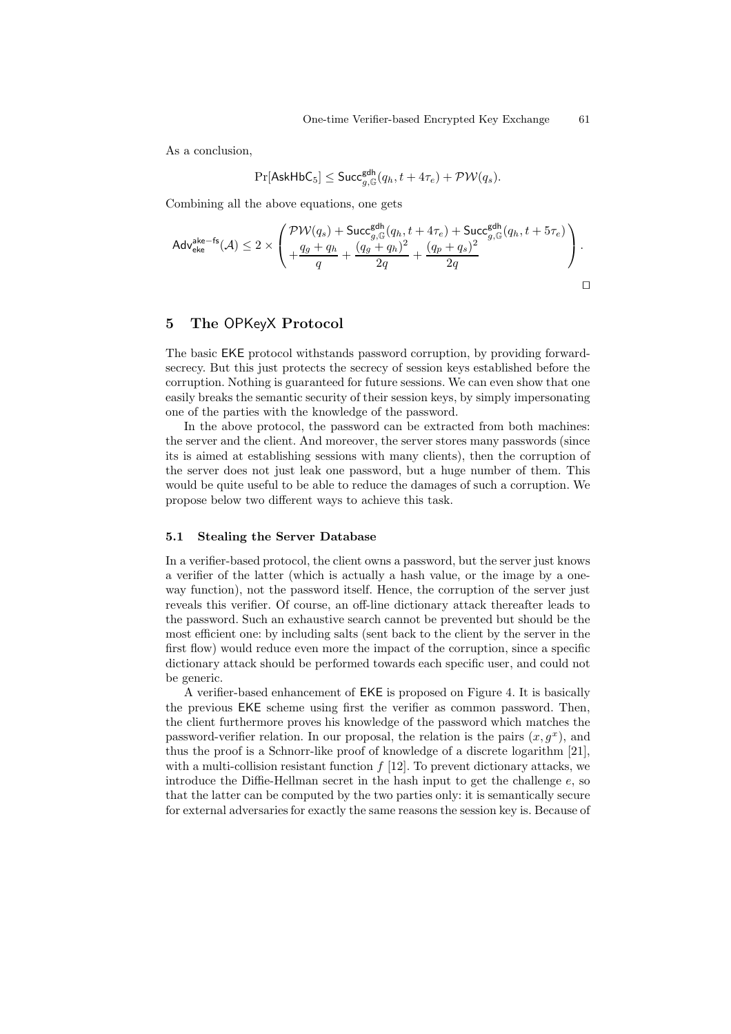As a conclusion,

$$
\Pr[\mathsf{AskHbC}_5] \leq \mathsf{Succ}_{g,\mathbb{G}}^{\mathsf{gdh}}(q_h, t + 4\tau_e) + \mathcal{PW}(q_s).
$$

Combining all the above equations, one gets

$$
\mathsf{Adv}^{\mathsf{ake-fs}}_{\mathsf{eke}}(\mathcal{A}) \leq 2 \times \left( \begin{matrix} \mathcal{PW}(q_s) + \mathsf{Succ}^{\mathsf{gdh}}_{g,\mathbb{G}}(q_h,t+4\tau_e) + \mathsf{Succ}^{\mathsf{gdh}}_{g,\mathbb{G}}(q_h,t+5\tau_e) \\ + \frac{q_g + q_h}{q} + \frac{(q_g + q_h)^2}{2q} + \frac{(q_p + q_s)^2}{2q} \end{matrix} \right).
$$

# 5 The OPKeyX Protocol

The basic EKE protocol withstands password corruption, by providing forwardsecrecy. But this just protects the secrecy of session keys established before the corruption. Nothing is guaranteed for future sessions. We can even show that one easily breaks the semantic security of their session keys, by simply impersonating one of the parties with the knowledge of the password.

In the above protocol, the password can be extracted from both machines: the server and the client. And moreover, the server stores many passwords (since its is aimed at establishing sessions with many clients), then the corruption of the server does not just leak one password, but a huge number of them. This would be quite useful to be able to reduce the damages of such a corruption. We propose below two different ways to achieve this task.

#### 5.1 Stealing the Server Database

In a verifier-based protocol, the client owns a password, but the server just knows a verifier of the latter (which is actually a hash value, or the image by a oneway function), not the password itself. Hence, the corruption of the server just reveals this verifier. Of course, an off-line dictionary attack thereafter leads to the password. Such an exhaustive search cannot be prevented but should be the most efficient one: by including salts (sent back to the client by the server in the first flow) would reduce even more the impact of the corruption, since a specific dictionary attack should be performed towards each specific user, and could not be generic.

A verifier-based enhancement of EKE is proposed on Figure 4. It is basically the previous EKE scheme using first the verifier as common password. Then, the client furthermore proves his knowledge of the password which matches the password-verifier relation. In our proposal, the relation is the pairs  $(x, g^x)$ , and thus the proof is a Schnorr-like proof of knowledge of a discrete logarithm [21], with a multi-collision resistant function  $f(12)$ . To prevent dictionary attacks, we introduce the Diffie-Hellman secret in the hash input to get the challenge e, so that the latter can be computed by the two parties only: it is semantically secure for external adversariesfor exactly the same reasons the session key is. Because of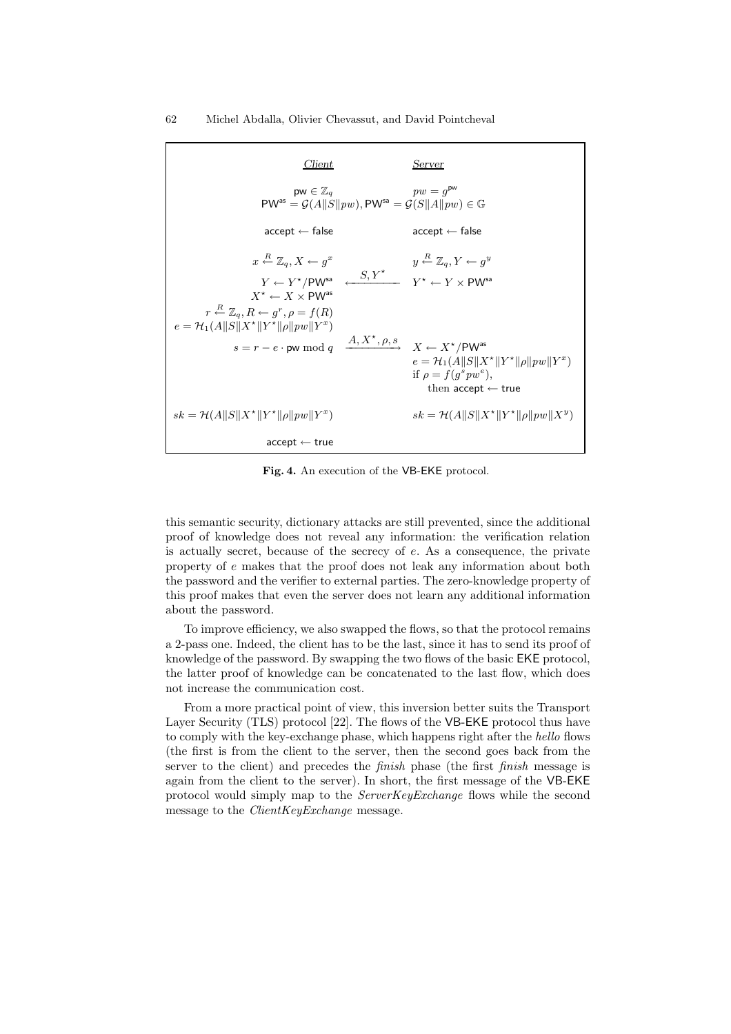| Client                                                                                                                                                                                     | Server                                                                                                                                                                                                    |
|--------------------------------------------------------------------------------------------------------------------------------------------------------------------------------------------|-----------------------------------------------------------------------------------------------------------------------------------------------------------------------------------------------------------|
| $\mathsf{pw} \in \mathbb{Z}_q$                                                                                                                                                             | $pw = q^{\text{pw}}$<br>$PW^{as} = \mathcal{G}(A  S  pw)$ , $PW^{sa} = \mathcal{G}(S  A  pw) \in \mathbb{G}$                                                                                              |
| $accept \leftarrow false$                                                                                                                                                                  | $accept \leftarrow false$                                                                                                                                                                                 |
| $x \stackrel{R}{\leftarrow} \mathbb{Z}_q, X \leftarrow q^x$<br>$X^* \leftarrow X \times \text{PM}^{\text{as}}$<br>$r \stackrel{R}{\leftarrow} \mathbb{Z}_q, R \leftarrow q^r, \rho = f(R)$ | $y \stackrel{R}{\leftarrow} \mathbb{Z}_q, Y \leftarrow g^y$<br>$Y \leftarrow Y^{\star}/\textsf{PW}^{\textsf{sa}} \leftarrow \frac{S, Y^{\star}}{Y^{\star} \leftarrow Y \times \textsf{PW}^{\textsf{sa}}}$ |
| $e = \mathcal{H}_1(A  S  X^*  Y^*  \rho  pw  Y^x)$<br>$s = r - e \cdot \text{pw mod } q \xrightarrow{A, X^{\star}, \rho, s} X \leftarrow X^{\star}/\text{PW}^{\text{as}}$                  | $e = \mathcal{H}_1(A  S  X^*  Y^*  \rho  pw  Y^x)$<br>if $\rho = f(q^s p w^e)$ ,<br>then $accept \leftarrow true$                                                                                         |
| $sk = \mathcal{H}(A  S  X^*  Y^*  \rho  pw  Y^x)$                                                                                                                                          | $sk = \mathcal{H}(A  S  X^*  Y^*  \rho  pw  X^y)$                                                                                                                                                         |
| $accept \leftarrow true$                                                                                                                                                                   |                                                                                                                                                                                                           |

Fig. 4. An execution of the VB-EKE protocol.

this semantic security, dictionary attacks are still prevented, since the additional proof of knowledge does not reveal any information: the verification relation is actually secret, because of the secrecy of  $e$ . As a consequence, the private property of e makes that the proof does not leak any information about both the password and the verifier to external parties. The zero-knowledge property of this proof makes that even the server does not learn any additional information about the password.

To improve efficiency, we also swapped the flows, so that the protocol remains a 2-pass one. Indeed, the client has to be the last, since it has to send its proof of knowledge of the password. By swapping the two flows of the basic EKE protocol, the latter proof of knowledge can be concatenated to the last flow, which does not increase the communication cost.

From a more practical point of view, this inversion better suits the Transport Layer Security (TLS) protocol [22]. The flows of the VB-EKE protocol thus have to comply with the key-exchange phase, which happens right after the *hello* flows (the first is from the client to the server, then the second goes back from the server to the client) and precedes the *finish* phase (the first *finish* message is again from the client to the server). In short, the first message of the VB-EKE protocol would simply map to the ServerKeyExchange flows while the second message to the *ClientKeyExchange* message.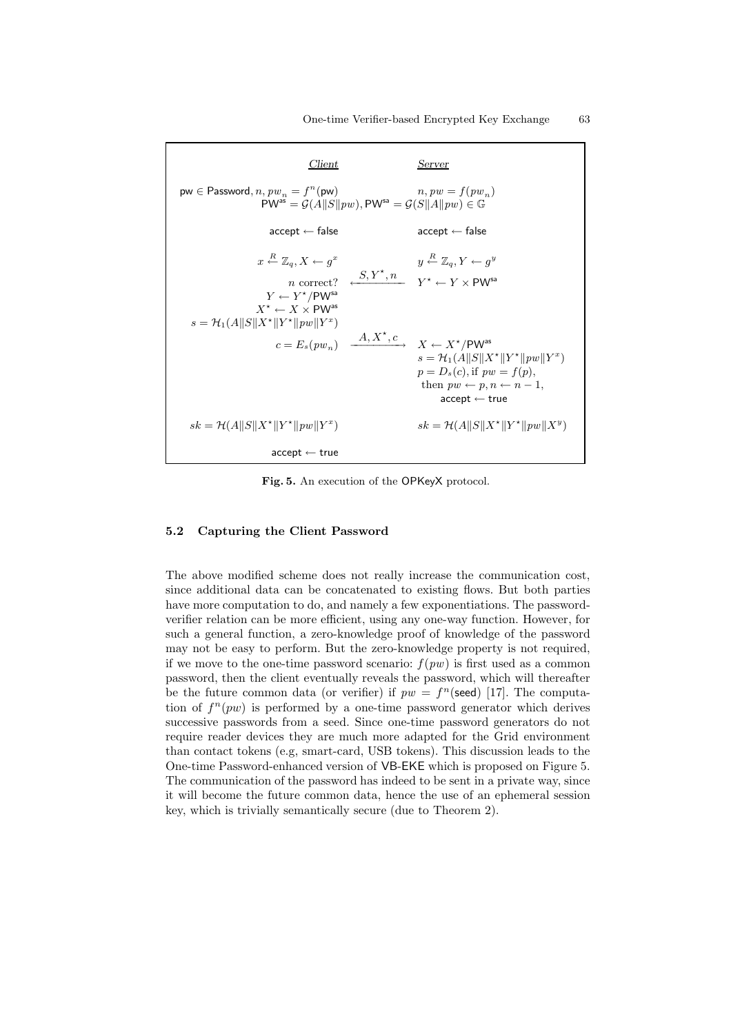

Fig. 5. An execution of the OPKeyX protocol.

#### 5.2 Capturing the Client Password

The above modified scheme does not really increase the communication cost, since additional data can be concatenated to existing flows. But both parties have more computation to do, and namely a few exponentiations. The passwordverifier relation can be more efficient, using any one-way function. However, for such a general function, a zero-knowledge proof of knowledge of the password may not be easy to perform. But the zero-knowledge property is not required, if we move to the one-time password scenario:  $f(pw)$  is first used as a common password, then the client eventually reveals the password, which will thereafter be the future common data (or verifier) if  $pw = f<sup>n</sup>$  (seed) [17]. The computation of  $f^{n}(pw)$  is performed by a one-time password generator which derives successive passwords from a seed. Since one-time password generators do not require reader devices they are much more adapted for the Grid environment than contact tokens (e.g, smart-card, USB tokens). This discussion leads to the One-time Password-enhanced version of VB-EKE which is proposed on Figure 5. The communication of the password has indeed to be sent in a private way, since it will become the future common data, hence the use of an ephemeral session key, which is trivially semantically secure (due to Theorem 2).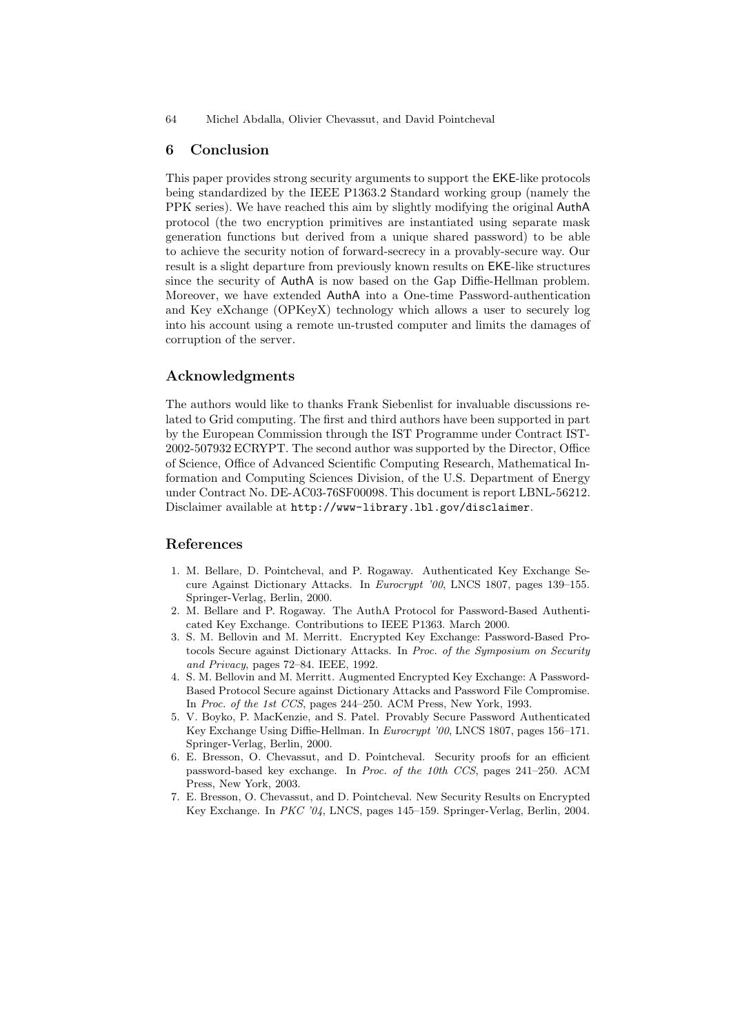### 6 Conclusion

This paper provides strong security arguments to support the EKE-like protocols being standardized by the IEEE P1363.2 Standard working group (namely the PPK series). We have reached this aim by slightly modifying the original AuthA protocol (the two encryption primitives are instantiated using separate mask generation functions but derived from a unique shared password) to be able to achieve the security notion of forward-secrecy in a provably-secure way. Our result is a slight departure from previously known results on EKE-like structures since the security of AuthA is now based on the Gap Diffie-Hellman problem. Moreover, we have extended AuthA into a One-time Password-authentication and Key eXchange (OPKeyX) technology which allows a user to securely log into his account using a remote un-trusted computer and limits the damages of corruption of the server.

## Acknowledgments

The authors would like to thanks Frank Siebenlist for invaluable discussions related to Grid computing. The first and third authors have been supported in part by the European Commission through the IST Programme under Contract IST-2002-507932 ECRYPT. The second author was supported by the Director, Office of Science, Office of Advanced Scientific Computing Research, Mathematical Information and Computing Sciences Division, of the U.S. Department of Energy under Contract No. DE-AC03-76SF00098. This document is report LBNL-56212. Disclaimer available at http://www-library.lbl.gov/disclaimer.

### References

- 1. M. Bellare, D. Pointcheval, and P. Rogaway. Authenticated Key Exchange Secure Against Dictionary Attacks. In Eurocrypt '00, LNCS 1807, pages 139–155. Springer-Verlag, Berlin, 2000.
- 2. M. Bellare and P. Rogaway. The AuthA Protocol for Password-Based Authenticated Key Exchange. Contributions to IEEE P1363. March 2000.
- 3. S. M. Bellovin and M. Merritt. Encrypted Key Exchange: Password-Based Protocols Secure against Dictionary Attacks. In Proc. of the Symposium on Security and Privacy, pages 72–84. IEEE, 1992.
- 4. S. M. Bellovin and M. Merritt. Augmented Encrypted Key Exchange: A Password-Based Protocol Secure against Dictionary Attacks and Password File Compromise. In Proc. of the 1st CCS, pages 244–250. ACM Press, New York, 1993.
- 5. V. Boyko, P. MacKenzie, and S. Patel. Provably Secure Password Authenticated Key Exchange Using Diffie-Hellman. In Eurocrypt '00, LNCS 1807, pages 156–171. Springer-Verlag, Berlin, 2000.
- 6. E. Bresson, O. Chevassut, and D. Pointcheval. Security proofs for an efficient password-based key exchange. In Proc. of the 10th CCS, pages 241–250. ACM Press, New York, 2003.
- 7. E. Bresson, O. Chevassut, and D. Pointcheval. New Security Results on Encrypted Key Exchange. In PKC '04, LNCS, pages 145–159. Springer-Verlag, Berlin, 2004.